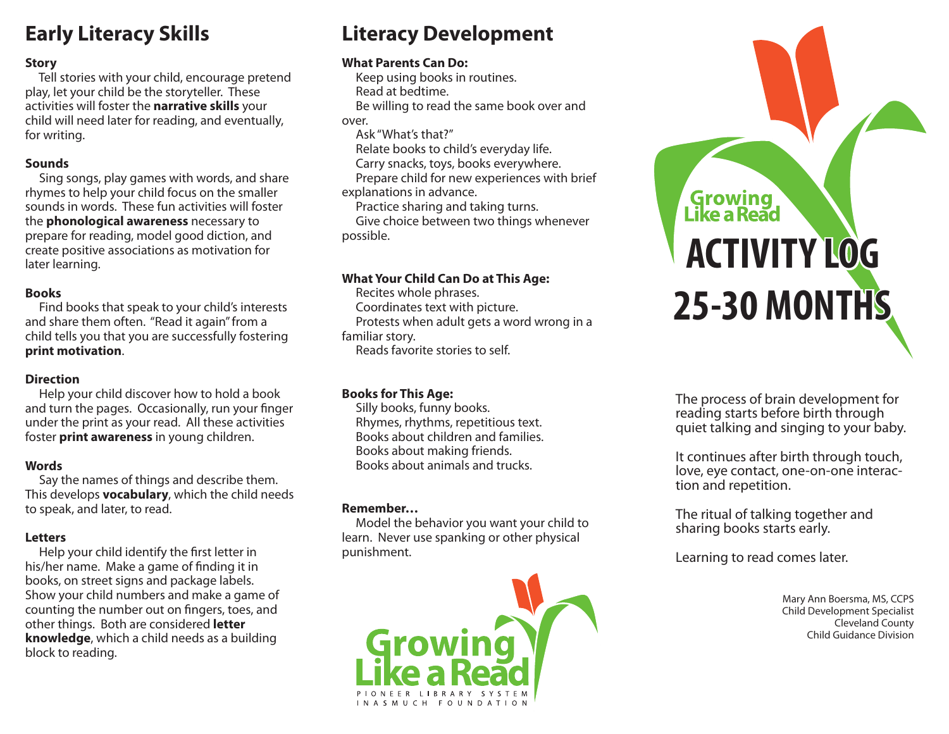## **Early Literacy Skills**

## **Story**

 Tell stories with your child, encourage pretend play, let your child be the storyteller. These activities will foster the **narrative skills** your child will need later for reading, and eventually, for writing.

## **Sounds**

 Sing songs, play games with words, and share rhymes to help your child focus on the smaller sounds in words. These fun activities will foster the **phonological awareness** necessary to prepare for reading, model good diction, and create positive associations as motivation for later learning.

## **Books**

 Find books that speak to your child's interests and share them often. "Read it again" from a child tells you that you are successfully fostering **print motivation**.

## **Direction**

 Help your child discover how to hold a book and turn the pages. Occasionally, run your finger under the print as your read. All these activities foster **print awareness** in young children.

## **Words**

 Say the names of things and describe them. This develops **vocabulary**, which the child needs to speak, and later, to read.

## **Letters**

Help your child identify the first letter in his/her name. Make a game of finding it in books, on street signs and package labels. Show your child numbers and make a game of counting the number out on fingers, toes, and other things. Both are considered **letter knowledge**, which a child needs as a building block to reading.

## **Literacy Development**

## **What Parents Can Do:**

Keep using books in routines.

Read at bedtime.

 Be willing to read the same book over and over.

 Ask "What's that?" Relate books to child's everyday life. Carry snacks, toys, books everywhere. Prepare child for new experiences with brief explanations in advance.

Practice sharing and taking turns.

 Give choice between two things whenever possible.

## **What Your Child Can Do at This Age:**

 Recites whole phrases. Coordinates text with picture. Protests when adult gets a word wrong in a familiar story. Reads favorite stories to self.

## **Books for This Age:**

 Silly books, funny books. Rhymes, rhythms, repetitious text. Books about children and families. Books about making friends. Books about animals and trucks.

## **Remember…**

 Model the behavior you want your child to learn. Never use spanking or other physical punishment.



# **Growing**<br>Like a Read **ACTIVITY LOG 25-30 MONTHS**

The process of brain development for reading starts before birth through quiet talking and singing to your baby.

It continues after birth through touch, love, eye contact, one-on-one interac- tion and repetition.

The ritual of talking together and sharing books starts early.

Learning to read comes later.

Mary Ann Boersma, MS, CCPS Child Development Specialist Cleveland County Child Guidance Division